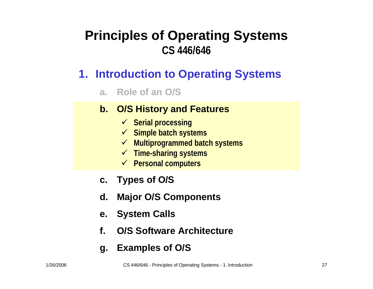### **Principles of Operating Systems CS 446/646**

- **1. Introduction to Operating Systems**
	- **a. Role of an O/S**

### **b. O/S History and Features**

- 9 **Serial processing**
- 9 **Simple batch systems**
- 9 **Multiprogrammed batch systems**
- 9 **Time-sharing systems**
- 9 **Personal computers**
- **c. Types of O / S**
- **d.Major O/S Components**
- **e. System Calls**
- **f.O/S Software Architecture**
- **g. Examples of O/S**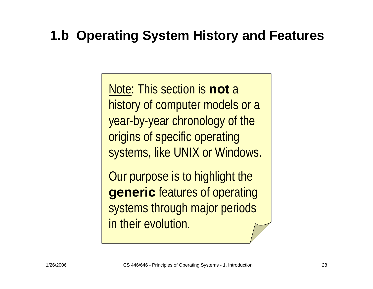### **1.b Operating System History and Features**

Note: This section is **not** a history of computer models or a year-by-year chronology of the origins of specific operating systems, like UNIX or Windows.

Our purpose is to highlight the **generic** features of operating systems through major periods in their evolution.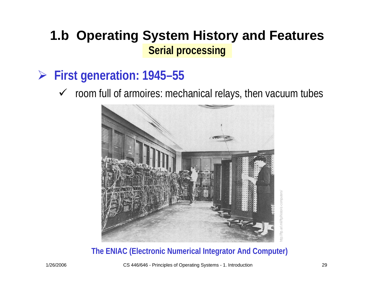- ¾ **First generation: 1945–55**
	- $\checkmark$  room full of armoires: mechanical relays, then vacuum tubes



#### **The ENIAC (Electronic Numerical Integrator And Computer)**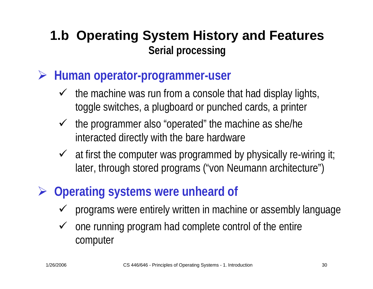- ¾ **Human operator-programmer-user**
	- $\checkmark$  the machine was run from a console that had display lights, toggle switches, a plugboard or punched cards, a printer
	- $\checkmark$  the programmer also "operated" the machine as she/he interacted directly with the bare hardware
	- $\checkmark$  at first the computer was programmed by physically re-wiring it; later, through stored programs ("von Neumann architecture")
- ¾ **Operating systems were unheard of**
	- $\checkmark$ programs were entirely written in machine or assembly language
	- $\checkmark$  one running program had complete control of the entire computer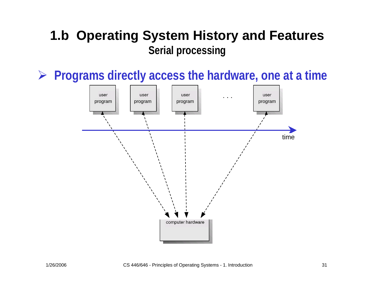¾ **Programs directly access the hardware, one at a time**

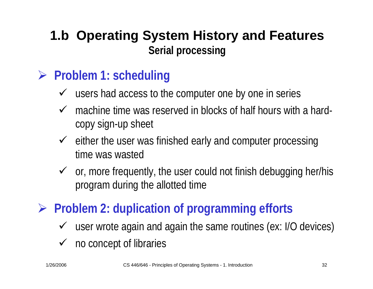## ¾ **Problems? Problem 1: scheduling**

- $\checkmark$  users had access to the computer one by one in series
- $\checkmark$  machine time was reserved in blocks of half hours with a hardcopy sign-up sheet
- $\checkmark$  either the user was finished early and computer processing time was wasted
- $\checkmark$  or, more frequently, the user could not finish debugging her/his program during the allotted time

## ¾ **Problem 2: duplication of programming efforts**

- $\checkmark$  user wrote again and again the same routines (ex: I/O devices)
- $\checkmark$  no concept of libraries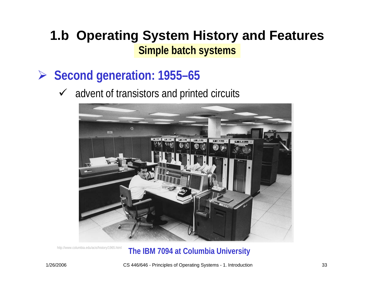- ¾ **Second generation: 1955–65**
	- $\checkmark$  advent of transistors and printed circuits



#### http://www.columbia.edu/acis/history/1965.html **The IBM 7094 at Columbia University**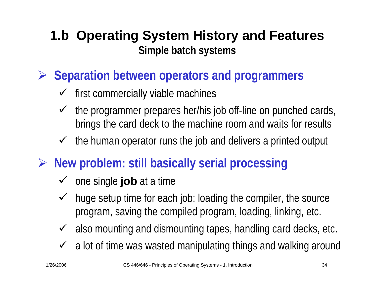- ¾ **Separation between operators and programmers**
	- $\checkmark$  first commercially viable machines
	- $\checkmark$  the programmer prepares her/his job off-line on punched cards, brings the card deck to the machine room and waits for results
	- $\checkmark$  the human operator runs the job and delivers a printed output
- ¾ **New problem? problem: still basically serial processing**
	- **√** one single **job** at a time
	- $\checkmark$  huge setup time for each job: loading the compiler, the source program, saving the compiled program, loading, linking, etc.
	- $\checkmark$  also mounting and dismounting tapes, handling card decks, etc.
	- $\checkmark$  a lot of time was wasted manipulating things and walking around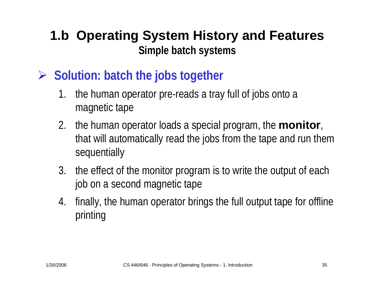- ¾ **Solution? Solution: batch the jobs together**
	- 1. the human operator pre-reads a tray full of jobs onto a magnetic tape
	- 2. the human operator loads a special program, the **monitor**, that will automatically read the jobs from the tape and run them sequentially
	- 3. the effect of the monitor program is to write the output of each job on a second magnetic tape
	- 4. finally, the human operator brings the full output tape for offline printing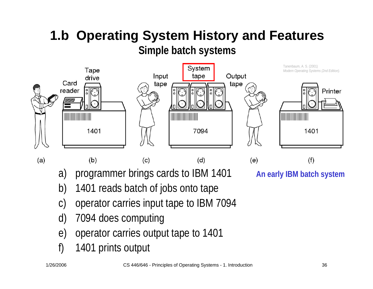

a) programmer brings cards to IBM 1401

**An early IBM batch system**

- b) 1401 reads batch of jobs onto tape
- c) operator carries input tape to IBM 7094
- d) 7094 does computing
- e) operator carries output tape to 1401
- f) 1401 prints output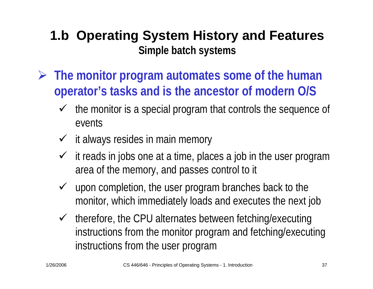- ¾ **The monitor program automates some of the human operator's tasks and is the ancestor of modern O/S**
	- $\checkmark$  the monitor is a special program that controls the sequence of events
	- $\checkmark$  it always resides in main memory
	- $\checkmark$  it reads in jobs one at a time, places a job in the user program area of the memory, and passes control to it
	- $\checkmark$  upon completion, the user program branches back to the monitor, which immediately loads and executes the next job
	- $\checkmark$  therefore, the CPU alternates between fetching/executing instructions from the monitor program and fetching/executing instructions from the user program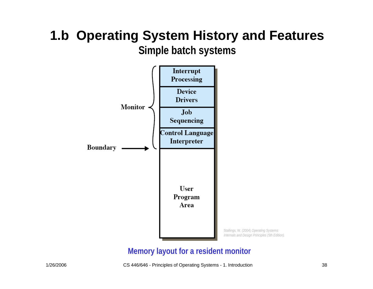

#### **Memory layout for a resident monitor**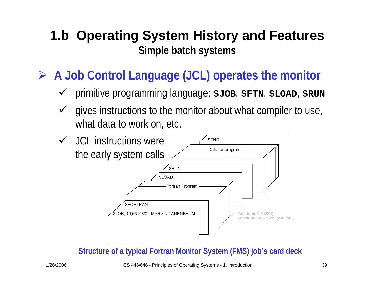- ¾ **A Job Control Language (JCL) operates the monitor**
	- $\checkmark$ primitive programming language: **\$JOB**, **\$FTN**, **\$LOAD**, **\$RUN**
	- $\sqrt{ }$  gives instructions to the monitor about what compiler to use, what data to work on, etc.



**Structure of a typical Fortran Monitor System (FMS) job's card deck**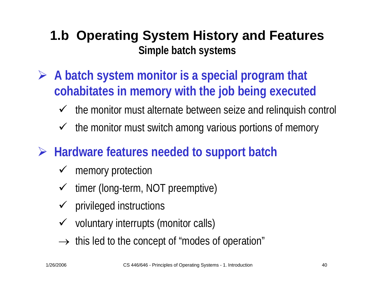- ¾ **A batch system monitor is a special program that cohabitates in memory with the job being executed**
	- $\checkmark$ the monitor must alternate between seize and relinquish control
	- $\checkmark$ the monitor must switch among various portions of memory
- ¾ **Hardware features needed to support batch? batch**
	- $\checkmark$ memory protection
	- $\checkmark$ timer (long-term, NOT preemptive)
	- $\checkmark$  privileged instructions
	- $\checkmark$  voluntary interrupts (monitor calls)
	- $\rightarrow$  this led to the concept of "modes of operation"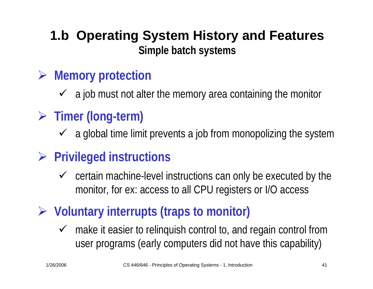- ¾ **Memory protection**
	- $\checkmark$  a job must not alter the memory area containing the monitor
- ¾ **Timer (long-term)**
	- $\checkmark$  a global time limit prevents a job from monopolizing the system
- ¾ **Privileged instructions**
	- $\checkmark$  certain machine-level instructions can only be executed by the monitor, for ex: access to all CPU registers or I/O access
- ¾ **Voluntary interrupts (traps to monitor)**
	- $\checkmark$  make it easier to relinquish control to, and regain control from user programs (early computers did not have this capability)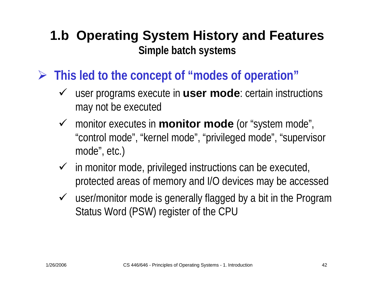- ¾ **This led to the concept of "modes of operation"**
	- ◆ user programs execute in **user mode**: certain instructions may not be executed
	- 9 monitor executes in **monitor mode** (or "system mode", "control mode", "kernel mode", "privileged mode", "supervisor mode", etc.)
	- $\checkmark$  in monitor mode, privileged instructions can be executed, protected areas of memory and I/O devices may be accessed
	- $\checkmark$  user/monitor mode is generally flagged by a bit in the Program Status Word (PSW) register of the CPU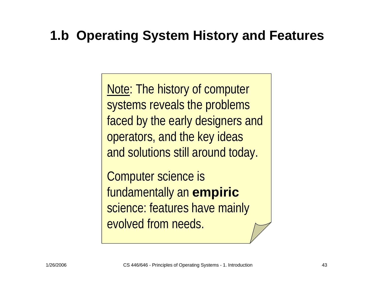### **1.b Operating System History and Features**

Note: The history of computer systems reveals the problems faced by the early designers and operators, and the key ideas and solutions still around today.

Computer science is fundamentally an **empiric** science: features have mainly evolved from needs.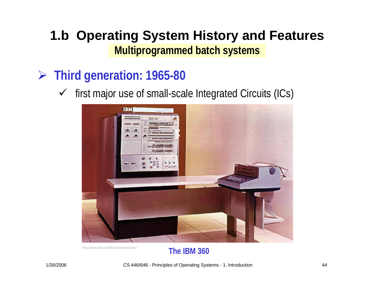- ¾ **Third generation: 1965-80**
	- $\checkmark$  first major use of small-scale Integrated Circuits (ICs)



http://www.thocp.net/hardware/pictures/ **The IBM 360**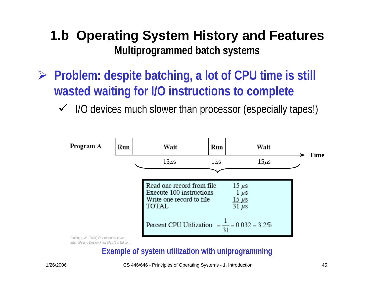- **► Problem: despite batching, a lot of CPU time is still wasted waiting for I/O instructions to complete**
	- $\checkmark$ I/O devices much slower than processor (especially tapes!)



### **Example of system utilization with uniprogramming**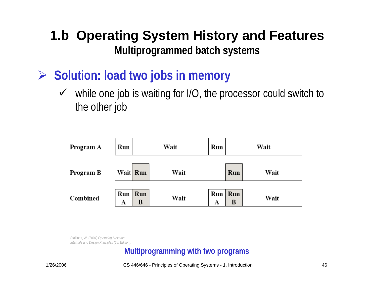- ¾ **Solution? Solution: load two jobs in memory**
	- $\sqrt{ }$  while one job is waiting for I/O, the processor could switch to the other job



Stallings, W. (2004) *Operating Systems: Internals and Design Principles (5th Edition).* 

#### **Multiprogramming with two programs**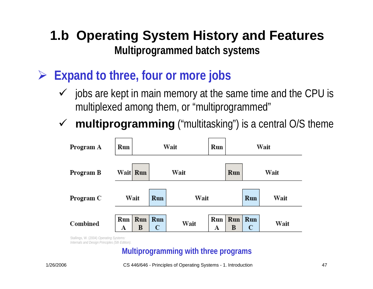- ¾ **Expand to three, four or more jobs**
	- $\sqrt{ }$  jobs are kept in main memory at the same time and the CPU is multiplexed among them, or "multiprogrammed"
	- $\sqrt{ }$ **multiprogramming** ("multitasking") is a central O/S theme



*Internals and Design Principles (5th Edition).* 

### **Multiprogramming with three programs**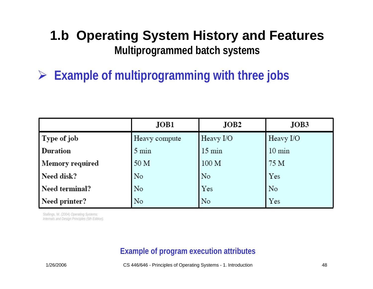¾ **Example of multiprogramming with three jobs**

|                        | JOB1            | JOB2             | JOB3             |
|------------------------|-----------------|------------------|------------------|
| Type of job            | Heavy compute   | Heavy I/O        | Heavy I/O        |
| <b>Duration</b>        | $5 \text{ min}$ | $15 \text{ min}$ | $10 \text{ min}$ |
| <b>Memory required</b> | 50 M            | 100 M            | 75 M             |
| Need disk?             | No              | No               | Yes              |
| Need terminal?         | No              | Yes              | No               |
| Need printer?          | No              | No               | Yes              |

Stallings, W. (2004) *Operating Systems: Internals and Design Principles (5th Edition).* 

### **Example of program execution attributes**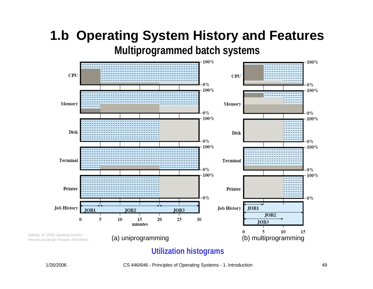

#### **Utilization histograms**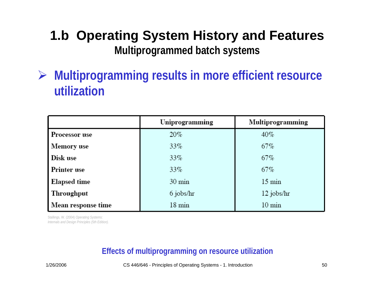¾ **Multiprogramming results in more efficient resource utilization**

|                      | Uniprogramming   | Multiprogramming |
|----------------------|------------------|------------------|
| <b>Processor</b> use | $20\%$           | $40\%$           |
| <b>Memory</b> use    | 33%              | 67%              |
| Disk use             | 33%              | $67\%$           |
| <b>Printer use</b>   | $33\%$           | 67%              |
| <b>Elapsed time</b>  | $30 \text{ min}$ | $15 \text{ min}$ |
| Throughput           | 6 jobs/hr        | 12 jobs/hr       |
| Mean response time   | $18 \text{ min}$ | $10 \text{ min}$ |

Stallings, W. (2004) *Operating Systems: Internals and Design Principles (5th Edition).* 

### **Effects of multiprogramming on resource utilization**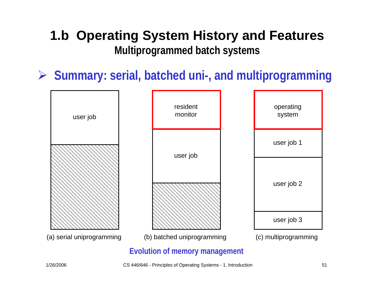¾ **Summary: serial, batched uni-, and multiprogramming**



<sup>1/26/2006</sup> CS 446/646 - Principles of Operating Systems - 1. Introduction 51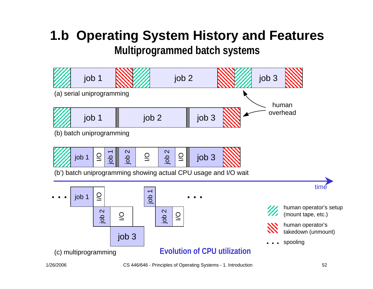# **1.b Operating System History and Features**

**Multiprogrammed batch systems**

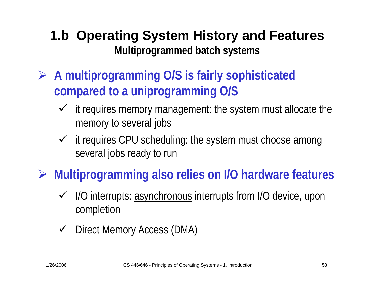- ¾ **A multiprogramming O/S is fairly sophisticated compared to a uniprogramming O/S**
	- $\checkmark$  it requires memory management: the system must allocate the memory to several jobs
	- $\checkmark$  it requires CPU scheduling: the system must choose among several jobs ready to run

### ¾ **Multiprogramming also relies on I/O hardware features**

- ◆ I/O interrupts: asynchronous interrupts from I/O device, upon completion
- $\sqrt{ }$ Direct Memory Access (DMA)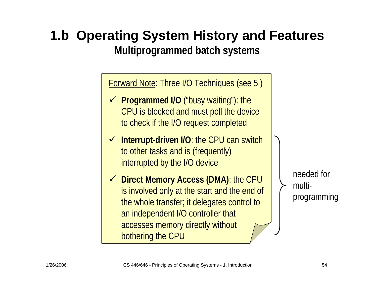# **1.b Operating System History and Features**

**Multiprogrammed batch systems**

Forward Note: Three I/O Techniques (see 5.)

- **► Programmed I/O** ("busy waiting"): the CPU is blocked and must poll the device to check if the I/O request completed
- $\checkmark$  **Interrupt-driven I/O**: the CPU can switch to other tasks and is (frequently) interrupted by the I/O device
- 9 **Direct Memory Access (DMA)**: the CPU is involved only at the start and the end of the whole transfer; it delegates control to an independent I/O controller that accesses memory directly without bothering the CPU

needed formultiprogramming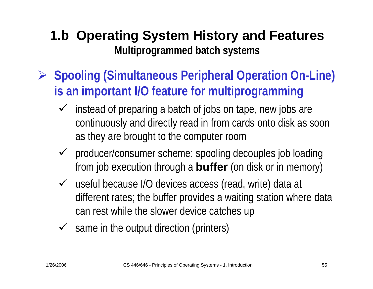- ¾ **Spooling (Simultaneous Peripheral Operation On-Line) is an important I/O feature for multiprogramming**
	- $\checkmark$  instead of preparing a batch of jobs on tape, new jobs are continuously and directly read in from cards onto disk as soon as they are brought to the computer room
	- $\checkmark$  producer/consumer scheme: spooling decouples job loading from job execution through a **buffer** (on disk or in memory)
	- $\checkmark$  useful because I/O devices access (read, write) data at different rates; the buffer provides a waiting station where data can rest while the slower device catches up
	- $\checkmark$  same in the output direction (printers)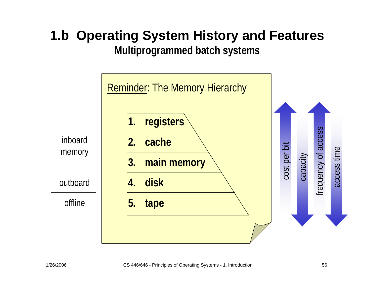# **1.b Operating System History and Features**

**Multiprogrammed batch systems**

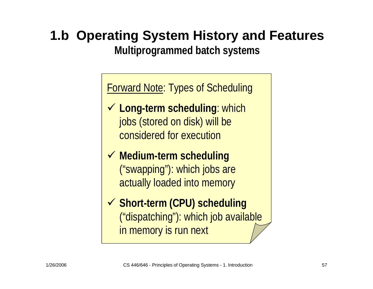## **1.b Operating System History and Features**

**Multiprogrammed batch systems**

Forward Note: Types of Scheduling

- **√ Long-term scheduling: which** jobs (stored on disk) will be considered for execution
- 9 **Medium-term scheduling** ("swapping"): which jobs are actually loaded into memory
- 9 **Short-term (CPU) scheduling** ("dispatching"): which job available in memory is run next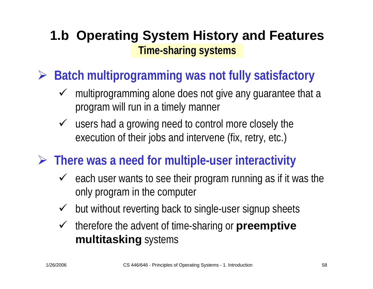### **1.b Operating System History and Features Time-sharing systems**

- ¾ **Batch multiprogramming was not fully satisfactory**
	- $\sqrt{ }$ multiprogramming alone does not give any guarantee that a program will run in a timely manner
	- $\checkmark$  users had a growing need to control more closely the execution of their jobs and intervene (fix, retry, etc.)
- **► There was a need for multiple-user interactivity** 
	- $\checkmark$  each user wants to see their program running as if it was the only program in the computer
	- $\sqrt{ }$ but without reverting back to single-user signup sheets
	- $\sqrt{ }$  therefore the advent of time-sharing or **preemptive multitasking** systems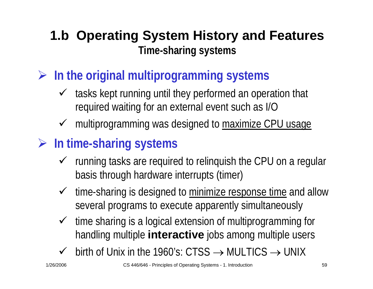### **1.b Operating System History and Features Time-sharing systems**

- ¾ **In the original multiprogramming systems**
	- $\checkmark$  tasks kept running until they performed an operation that required waiting for an external event such as I/O
	- multiprogramming was designed to maximize CPU usage
- ¾ **In time-sharing systems**
	- $\checkmark$  running tasks are required to relinquish the CPU on a regular basis through hardware interrupts (timer)
	- $\checkmark$  time-sharing is designed to minimize response time and allow several programs to execute apparently simultaneously
	- $\checkmark$  time sharing is a logical extension of multiprogramming for handling multiple **interactive** jobs among multiple users
	- $\checkmark$  $\checkmark$  birth of Unix in the 1960's: CTSS  $\to$  MULTICS  $\to$  UNIX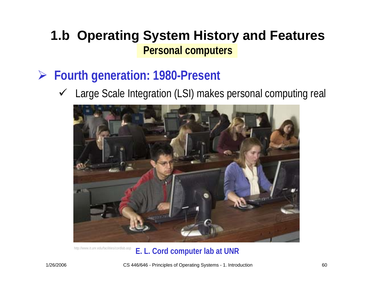- ¾ **Fourth generation: 1980-Present**
	- 9 Large Scale Integration (LSI) makes personal computing real



#### http://www.it.unr.edu/facilities/cordlab.asp **E. L. Cord computer lab at UNR**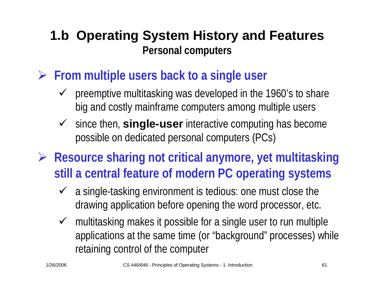- **▶ From multiple users back to a single user** 
	- $\checkmark$  preemptive multitasking was developed in the 1960's to share big and costly mainframe computers among multiple users
	- ◆ since then, **single-user** interactive computing has become possible on dedicated personal computers (PCs)
- ¾ **Resource sharing not critical anymore, yet multitasking still a central feature of modern PC operating systems**
	- $\checkmark$  a single-tasking environment is tedious: one must close the drawing application before opening the word processor, etc.
	- $\checkmark$  multitasking makes it possible for a single user to run multiple applications at the same time (or "background" processes) while retaining control of the computer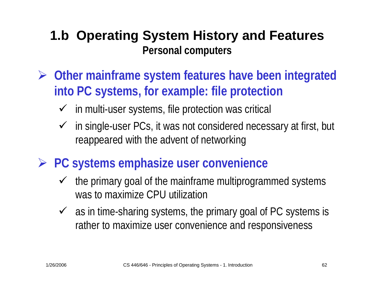- ¾ **Other mainframe system features have been integrated into PC systems, for example: file protection**
	- $\checkmark$  in multi-user systems, file protection was critical
	- $\checkmark$  in single-user PCs, it was not considered necessary at first, but reappeared with the advent of networking
- ¾ **PC systems emphasize user convenience**
	- $\sqrt{ }$  the primary goal of the mainframe multiprogrammed systems was to maximize CPU utilization
	- $\checkmark$  as in time-sharing systems, the primary goal of PC systems is rather to maximize user convenience and responsiveness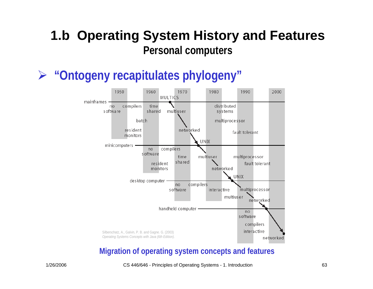¾**"Ontogeny recapitulates phylogeny"**



#### **Migration of operating system concepts and features**